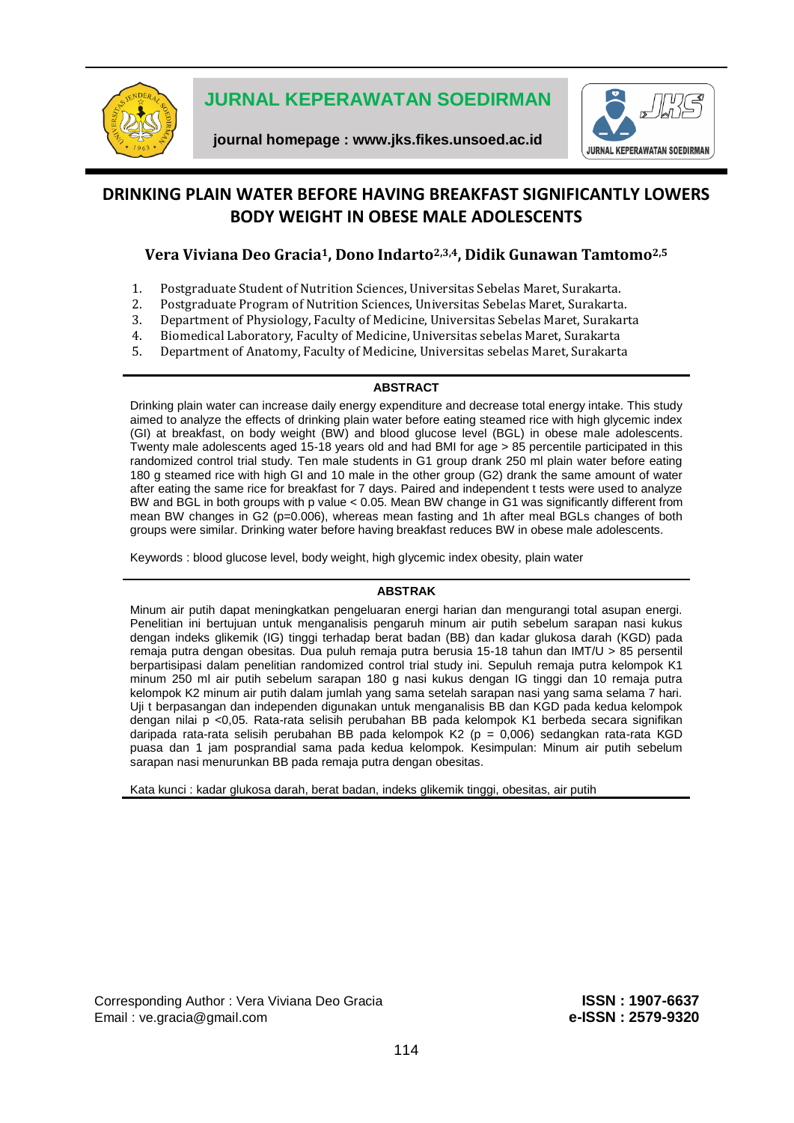

**journal homepage : [www.jks.fikes.unsoed.ac.id](http://www.jks.fikes.unsoed.ac.id/)**



# **DRINKING PLAIN WATER BEFORE HAVING BREAKFAST SIGNIFICANTLY LOWERS BODY WEIGHT IN OBESE MALE ADOLESCENTS**

### **Vera Viviana Deo Gracia1, Dono Indarto2,3,4, Didik Gunawan Tamtomo2,5**

- 1. Postgraduate Student of Nutrition Sciences, Universitas Sebelas Maret, Surakarta.
- 2. Postgraduate Program of Nutrition Sciences, Universitas Sebelas Maret, Surakarta.
- 3. Department of Physiology, Faculty of Medicine, Universitas Sebelas Maret, Surakarta
- 4. Biomedical Laboratory, Faculty of Medicine, Universitas sebelas Maret, Surakarta
- 5. Department of Anatomy, Faculty of Medicine, Universitas sebelas Maret, Surakarta

#### **ABSTRACT**

Drinking plain water can increase daily energy expenditure and decrease total energy intake. This study aimed to analyze the effects of drinking plain water before eating steamed rice with high glycemic index (GI) at breakfast, on body weight (BW) and blood glucose level (BGL) in obese male adolescents. Twenty male adolescents aged 15-18 years old and had BMI for age > 85 percentile participated in this randomized control trial study. Ten male students in G1 group drank 250 ml plain water before eating 180 g steamed rice with high GI and 10 male in the other group (G2) drank the same amount of water after eating the same rice for breakfast for 7 days. Paired and independent t tests were used to analyze BW and BGL in both groups with p value < 0.05. Mean BW change in G1 was significantly different from mean BW changes in G2 (p=0.006), whereas mean fasting and 1h after meal BGLs changes of both groups were similar. Drinking water before having breakfast reduces BW in obese male adolescents.

Keywords : blood glucose level, body weight, high glycemic index obesity, plain water

#### **ABSTRAK**

Minum air putih dapat meningkatkan pengeluaran energi harian dan mengurangi total asupan energi. Penelitian ini bertujuan untuk menganalisis pengaruh minum air putih sebelum sarapan nasi kukus dengan indeks glikemik (IG) tinggi terhadap berat badan (BB) dan kadar glukosa darah (KGD) pada remaja putra dengan obesitas. Dua puluh remaja putra berusia 15-18 tahun dan IMT/U > 85 persentil berpartisipasi dalam penelitian randomized control trial study ini. Sepuluh remaja putra kelompok K1 minum 250 ml air putih sebelum sarapan 180 g nasi kukus dengan IG tinggi dan 10 remaja putra kelompok K2 minum air putih dalam jumlah yang sama setelah sarapan nasi yang sama selama 7 hari. Uji t berpasangan dan independen digunakan untuk menganalisis BB dan KGD pada kedua kelompok dengan nilai p <0,05. Rata-rata selisih perubahan BB pada kelompok K1 berbeda secara signifikan daripada rata-rata selisih perubahan BB pada kelompok K2 (p = 0,006) sedangkan rata-rata KGD puasa dan 1 jam posprandial sama pada kedua kelompok. Kesimpulan: Minum air putih sebelum sarapan nasi menurunkan BB pada remaja putra dengan obesitas.

Kata kunci : kadar glukosa darah, berat badan, indeks glikemik tinggi, obesitas, air putih

Corresponding Author : Vera Viviana Deo Gracia **ISSN : 1907-6637** Email : ve.gracia@gmail.com **e-ISSN : 2579-9320**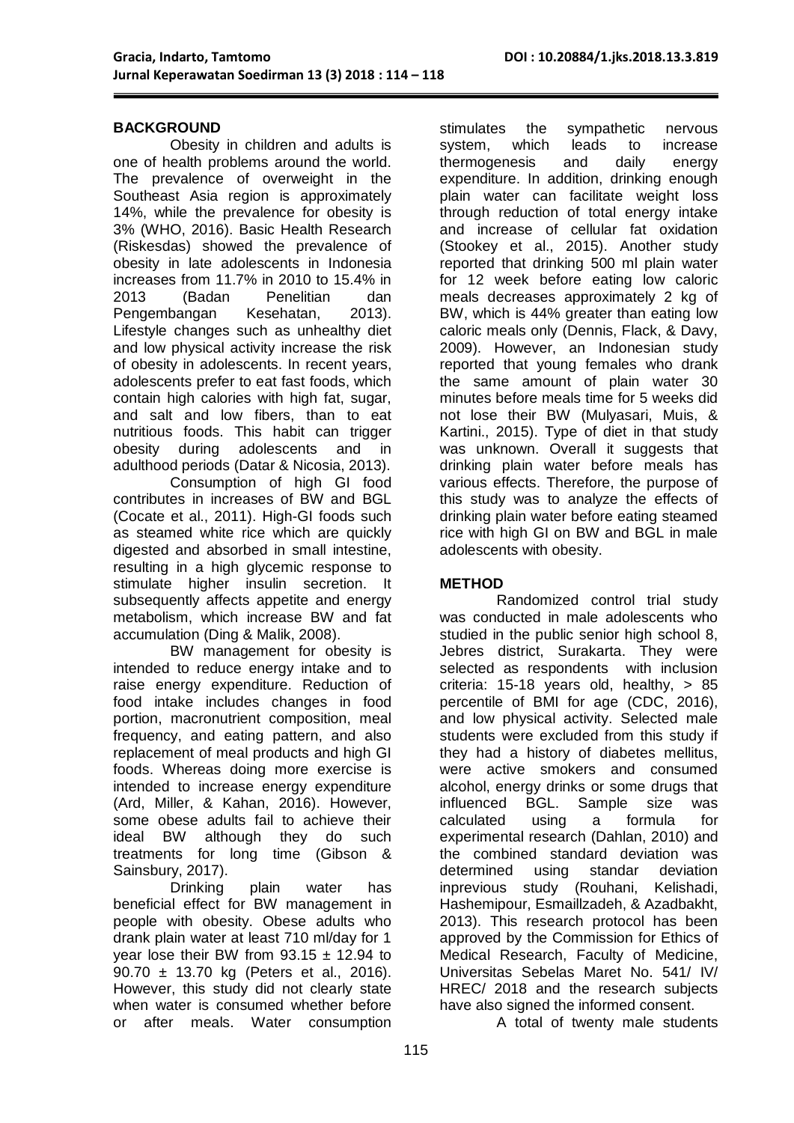### **BACKGROUND**

Obesity in children and adults is one of health problems around the world. The prevalence of overweight in the Southeast Asia region is approximately 14%, while the prevalence for obesity is 3% (WHO, 2016). Basic Health Research (Riskesdas) showed the prevalence of obesity in late adolescents in Indonesia increases from 11.7% in 2010 to 15.4% in 2013 (Badan Penelitian dan Pengembangan Kesehatan, 2013). Lifestyle changes such as unhealthy diet and low physical activity increase the risk of obesity in adolescents. In recent years, adolescents prefer to eat fast foods, which contain high calories with high fat, sugar, and salt and low fibers, than to eat nutritious foods. This habit can trigger obesity during adolescents and in adulthood periods (Datar & Nicosia, 2013).

Consumption of high GI food contributes in increases of BW and BGL (Cocate et al., 2011). High-GI foods such as steamed white rice which are quickly digested and absorbed in small intestine, resulting in a high glycemic response to stimulate higher insulin secretion. It subsequently affects appetite and energy metabolism, which increase BW and fat accumulation (Ding & Malik, 2008).

BW management for obesity is intended to reduce energy intake and to raise energy expenditure. Reduction of food intake includes changes in food portion, macronutrient composition, meal frequency, and eating pattern, and also replacement of meal products and high GI foods. Whereas doing more exercise is intended to increase energy expenditure (Ard, Miller, & Kahan, 2016). However, some obese adults fail to achieve their ideal BW although they do such treatments for long time (Gibson & Sainsbury, 2017).

Drinking plain water has beneficial effect for BW management in people with obesity. Obese adults who drank plain water at least 710 ml/day for 1 year lose their BW from  $93.15 \pm 12.94$  to 90.70 ± 13.70 kg (Peters et al., 2016). However, this study did not clearly state when water is consumed whether before or after meals. Water consumption stimulates the sympathetic nervous system, which leads to increase thermogenesis and daily energy expenditure. In addition, drinking enough plain water can facilitate weight loss through reduction of total energy intake and increase of cellular fat oxidation (Stookey et al., 2015). Another study reported that drinking 500 ml plain water for 12 week before eating low caloric meals decreases approximately 2 kg of BW, which is 44% greater than eating low caloric meals only (Dennis, Flack, & Davy, 2009). However, an Indonesian study reported that young females who drank the same amount of plain water 30 minutes before meals time for 5 weeks did not lose their BW (Mulyasari, Muis, & Kartini., 2015). Type of diet in that study was unknown. Overall it suggests that drinking plain water before meals has various effects. Therefore, the purpose of this study was to analyze the effects of drinking plain water before eating steamed rice with high GI on BW and BGL in male adolescents with obesity.

### **METHOD**

Randomized control trial study was conducted in male adolescents who studied in the public senior high school 8, Jebres district, Surakarta. They were selected as respondents with inclusion criteria: 15-18 years old, healthy, > 85 percentile of BMI for age (CDC, 2016), and low physical activity. Selected male students were excluded from this study if they had a history of diabetes mellitus, were active smokers and consumed alcohol, energy drinks or some drugs that influenced BGL. Sample size was calculated using a formula for experimental research (Dahlan, 2010) and the combined standard deviation was determined using standar deviation inprevious study (Rouhani, Kelishadi, Hashemipour, Esmaillzadeh, & Azadbakht, 2013). This research protocol has been approved by the Commission for Ethics of Medical Research, Faculty of Medicine, Universitas Sebelas Maret No. 541/ IV/ HREC/ 2018 and the research subjects have also signed the informed consent.

A total of twenty male students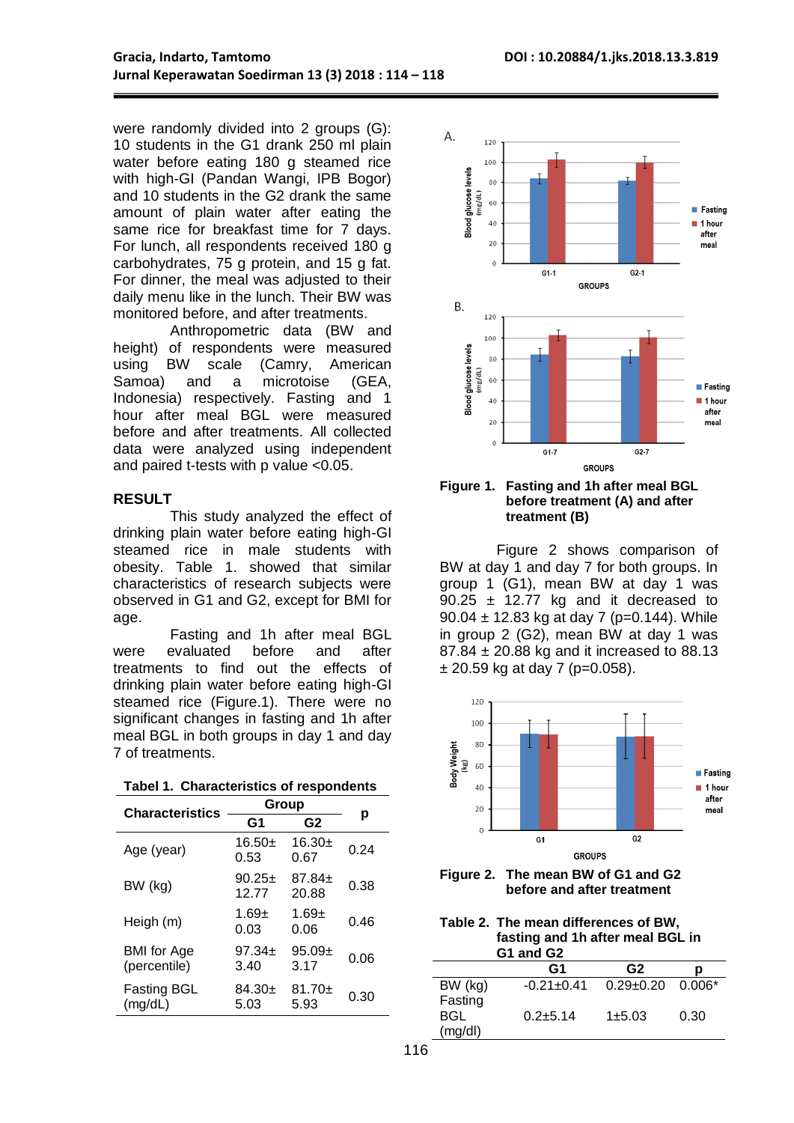were randomly divided into 2 groups (G): 10 students in the G1 drank 250 ml plain water before eating 180 g steamed rice with high-GI (Pandan Wangi, IPB Bogor) and 10 students in the G2 drank the same amount of plain water after eating the same rice for breakfast time for 7 days. For lunch, all respondents received 180 g carbohydrates, 75 g protein, and 15 g fat. For dinner, the meal was adjusted to their daily menu like in the lunch. Their BW was monitored before, and after treatments.

Anthropometric data (BW and height) of respondents were measured using BW scale (Camry, American Samoa) and a microtoise (GEA, Indonesia) respectively. Fasting and 1 hour after meal BGL were measured before and after treatments. All collected data were analyzed using independent and paired t-tests with p value <0.05.

#### **RESULT**

This study analyzed the effect of drinking plain water before eating high-GI steamed rice in male students with obesity. Table 1. showed that similar characteristics of research subjects were observed in G1 and G2, except for BMI for age.

Fasting and 1h after meal BGL were evaluated before and after treatments to find out the effects of drinking plain water before eating high-GI steamed rice (Figure.1). There were no significant changes in fasting and 1h after meal BGL in both groups in day 1 and day 7 of treatments.

|  | Tabel 1. Characteristics of respondents |  |  |
|--|-----------------------------------------|--|--|
|--|-----------------------------------------|--|--|

| <b>Characteristics</b>             | Group               |                      |      |
|------------------------------------|---------------------|----------------------|------|
|                                    | G1                  | G <sub>2</sub>       | р    |
| Age (year)                         | $16.50+$<br>0.53    | $16.30+$<br>0.67     | 0.24 |
| BW (kg)                            | $90.25+$<br>12.77   | $87.84 \pm$<br>20.88 | 0.38 |
| Heigh (m)                          | $1.69 +$<br>0.03    | 1.69 $\pm$<br>0.06   | 0.46 |
| <b>BMI</b> for Age<br>(percentile) | $97.34 \pm$<br>3.40 | $95.09+$<br>3.17     | 0.06 |
| Fasting BGL<br>(mg/dL)             | $84.30+$<br>5.03    | $81.70+$<br>5.93     | 0.30 |



#### **Figure 1. Fasting and 1h after meal BGL before treatment (A) and after treatment (B)**

Figure 2 shows comparison of BW at day 1 and day 7 for both groups. In group 1 (G1), mean BW at day 1 was 90.25  $\pm$  12.77 kg and it decreased to 90.04  $\pm$  12.83 kg at day 7 (p=0.144). While in group 2 (G2), mean BW at day 1 was 87.84 ± 20.88 kg and it increased to 88.13  $\pm$  20.59 kg at day 7 (p=0.058).



**Figure 2. The mean BW of G1 and G2 before and after treatment**

| Table 2. The mean differences of BW, |  |  |
|--------------------------------------|--|--|
| fasting and 1h after meal BGL in     |  |  |
| G1 and G2                            |  |  |

|                       | U I GHU UL       |               |        |
|-----------------------|------------------|---------------|--------|
|                       | G <sub>1</sub>   | G2            |        |
| BW (kg)<br>Fasting    | $-0.21 \pm 0.41$ | $0.29 + 0.20$ | 0.006* |
| <b>BGL</b><br>(mg/dl) | $0.2 + 5.14$     | $1 + 5.03$    | 0.30   |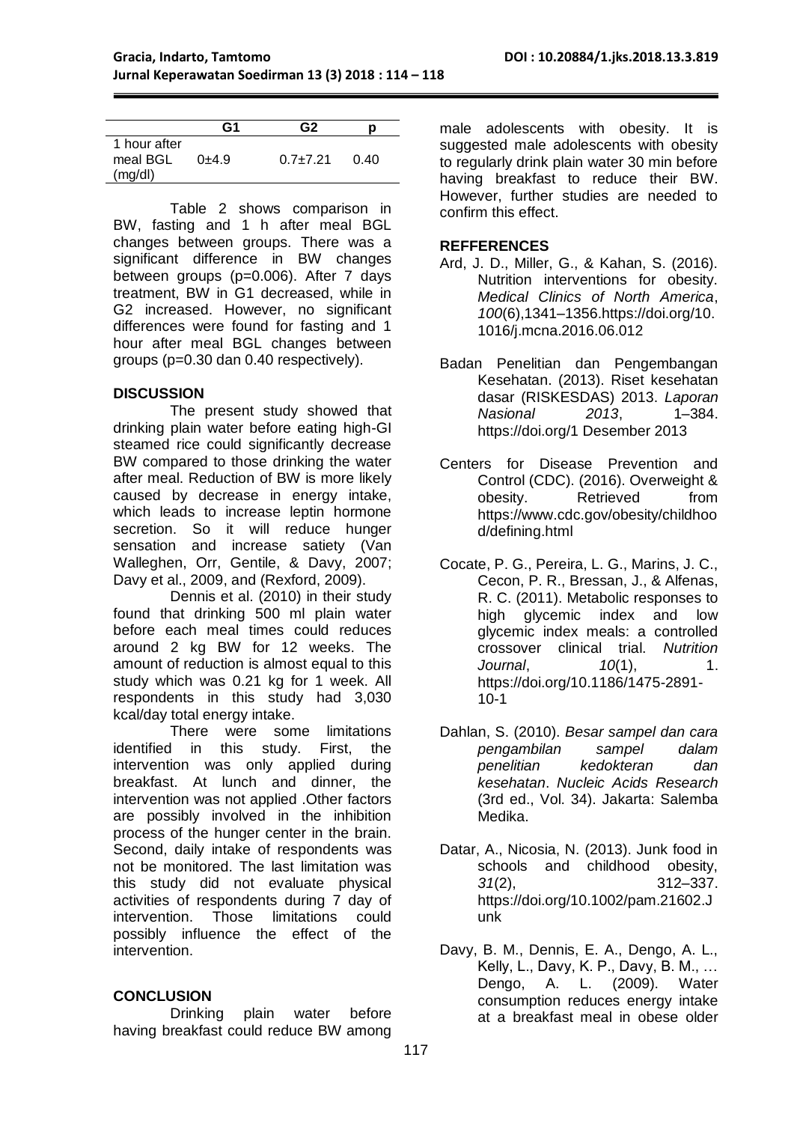| Gracia, Indarto, Tamtomo                          |  |
|---------------------------------------------------|--|
| Jurnal Keperawatan Soedirman 13 (3) 2018: 114-118 |  |

|                                     | G1      | G <sub>2</sub> |      |
|-------------------------------------|---------|----------------|------|
| 1 hour after<br>meal BGL<br>(mg/dl) | $0+4.9$ | $0.7 + 7.21$   | 0.40 |

Table 2 shows comparison in BW, fasting and 1 h after meal BGL changes between groups. There was a significant difference in BW changes between groups (p=0.006). After 7 days treatment, BW in G1 decreased, while in G2 increased. However, no significant differences were found for fasting and 1 hour after meal BGL changes between groups (p=0.30 dan 0.40 respectively).

### **DISCUSSION**

The present study showed that drinking plain water before eating high-GI steamed rice could significantly decrease BW compared to those drinking the water after meal. Reduction of BW is more likely caused by decrease in energy intake, which leads to increase leptin hormone secretion. So it will reduce hunger sensation and increase satiety (Van Walleghen, Orr, Gentile, & Davy, 2007; Davy et al., 2009, and (Rexford, 2009).

Dennis et al. (2010) in their study found that drinking 500 ml plain water before each meal times could reduces around 2 kg BW for 12 weeks. The amount of reduction is almost equal to this study which was 0.21 kg for 1 week. All respondents in this study had 3,030 kcal/day total energy intake.

There were some limitations identified in this study. First, the intervention was only applied during breakfast. At lunch and dinner, the intervention was not applied .Other factors are possibly involved in the inhibition process of the hunger center in the brain. Second, daily intake of respondents was not be monitored. The last limitation was this study did not evaluate physical activities of respondents during 7 day of intervention. Those limitations could possibly influence the effect of the intervention.

# **CONCLUSION**

Drinking plain water before having breakfast could reduce BW among

male adolescents with obesity. It is suggested male adolescents with obesity to regularly drink plain water 30 min before having breakfast to reduce their BW. However, further studies are needed to confirm this effect.

## **REFFERENCES**

- Ard, J. D., Miller, G., & Kahan, S. (2016). Nutrition interventions for obesity. *Medical Clinics of North America*, *100*(6),1341–1356.https://doi.org/10. 1016/j.mcna.2016.06.012
- Badan Penelitian dan Pengembangan Kesehatan. (2013). Riset kesehatan dasar (RISKESDAS) 2013. *Laporan Nasional 2013*, 1–384. https://doi.org/1 Desember 2013
- Centers for Disease Prevention and Control (CDC). (2016). Overweight & obesity. Retrieved from https://www.cdc.gov/obesity/childhoo d/defining.html
- Cocate, P. G., Pereira, L. G., Marins, J. C., Cecon, P. R., Bressan, J., & Alfenas, R. C. (2011). Metabolic responses to high glycemic index and low glycemic index meals: a controlled crossover clinical trial. *Nutrition Journal. 10*(1), 1. https://doi.org/10.1186/1475-2891-  $10 - 1$
- Dahlan, S. (2010). *Besar sampel dan cara pengambilan sampel dalam penelitian kedokteran dan kesehatan*. *Nucleic Acids Research* (3rd ed., Vol. 34). Jakarta: Salemba Medika.
- Datar, A., Nicosia, N. (2013). Junk food in schools and childhood obesity, *31*(2), 312–337. https://doi.org/10.1002/pam.21602.J unk
- Davy, B. M., Dennis, E. A., Dengo, A. L., Kelly, L., Davy, K. P., Davy, B. M., … Dengo, A. L. (2009). Water consumption reduces energy intake at a breakfast meal in obese older